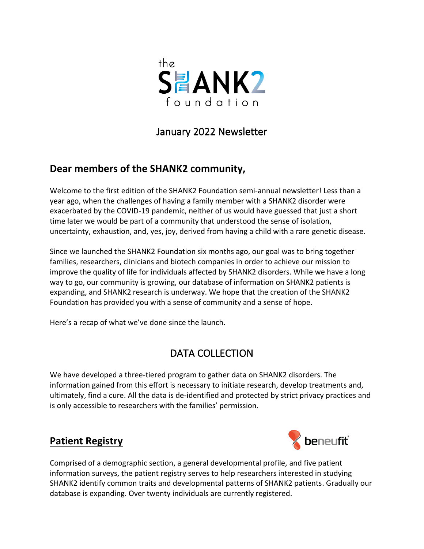

## January 2022 Newsletter

## **Dear members of the SHANK2 community,**

Welcome to the first edition of the SHANK2 Foundation semi-annual newsletter! Less than a year ago, when the challenges of having a family member with a SHANK2 disorder were exacerbated by the COVID-19 pandemic, neither of us would have guessed that just a short time later we would be part of a community that understood the sense of isolation, uncertainty, exhaustion, and, yes, joy, derived from having a child with a rare genetic disease.

Since we launched the SHANK2 Foundation six months ago, our goal was to bring together families, researchers, clinicians and biotech companies in order to achieve our mission to improve the quality of life for individuals affected by SHANK2 disorders. While we have a long way to go, our community is growing, our database of information on SHANK2 patients is expanding, and SHANK2 research is underway. We hope that the creation of the SHANK2 Foundation has provided you with a sense of community and a sense of hope.

Here's a recap of what we've done since the launch.

# DATA COLLECTION

We have developed a three-tiered program to gather data on SHANK2 disorders. The information gained from this effort is necessary to initiate research, develop treatments and, ultimately, find a cure. All the data is de-identified and protected by strict privacy practices and is only accessible to researchers with the families' permission.

## **Patient Registry**



Comprised of a demographic section, a general developmental profile, and five patient information surveys, the patient registry serves to help researchers interested in studying SHANK2 identify common traits and developmental patterns of SHANK2 patients. Gradually our database is expanding. Over twenty individuals are currently registered.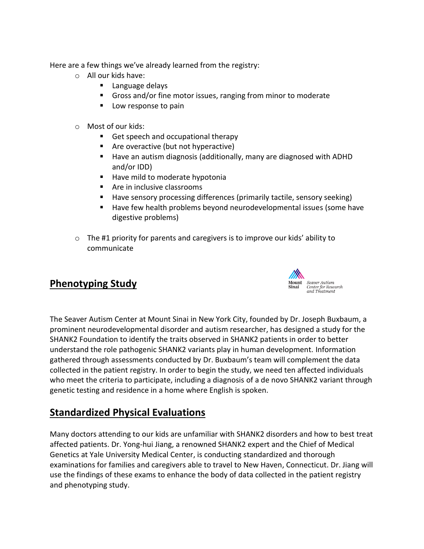Here are a few things we've already learned from the registry:

- o All our kids have:
	- Language delays
	- Gross and/or fine motor issues, ranging from minor to moderate
	- Low response to pain
- o Most of our kids:
	- Get speech and occupational therapy
	- Are overactive (but not hyperactive)
	- Have an autism diagnosis (additionally, many are diagnosed with ADHD and/or IDD)
	- Have mild to moderate hypotonia
	- Are in inclusive classrooms
	- Have sensory processing differences (primarily tactile, sensory seeking)
	- Have few health problems beyond neurodevelopmental issues (some have digestive problems)
- $\circ$  The #1 priority for parents and caregivers is to improve our kids' ability to communicate

### **Phenotyping Study**



The Seaver Autism Center at Mount Sinai in New York City, founded by Dr. Joseph Buxbaum, a prominent neurodevelopmental disorder and autism researcher, has designed a study for the SHANK2 Foundation to identify the traits observed in SHANK2 patients in order to better understand the role pathogenic SHANK2 variants play in human development. Information gathered through assessments conducted by Dr. Buxbaum's team will complement the data collected in the patient registry. In order to begin the study, we need ten affected individuals who meet the criteria to participate, including a diagnosis of a de novo SHANK2 variant through genetic testing and residence in a home where English is spoken.

### **Standardized Physical Evaluations**

Many doctors attending to our kids are unfamiliar with SHANK2 disorders and how to best treat affected patients. Dr. Yong-hui Jiang, a renowned SHANK2 expert and the Chief of Medical Genetics at Yale University Medical Center, is conducting standardized and thorough examinations for families and caregivers able to travel to New Haven, Connecticut. Dr. Jiang will use the findings of these exams to enhance the body of data collected in the patient registry and phenotyping study.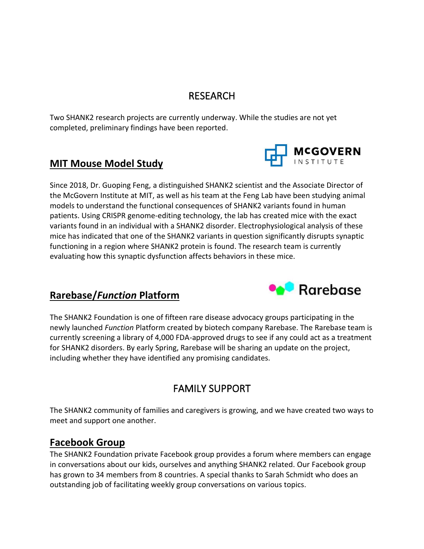### RESEARCH

Two SHANK2 research projects are currently underway. While the studies are not yet completed, preliminary findings have been reported.

### **MIT Mouse Model Study**



Since 2018, Dr. Guoping Feng, a distinguished SHANK2 scientist and the Associate Director of the McGovern Institute at MIT, as well as his team at the Feng Lab have been studying animal models to understand the functional consequences of SHANK2 variants found in human patients. Using CRISPR genome-editing technology, the lab has created mice with the exact variants found in an individual with a SHANK2 disorder. Electrophysiological analysis of these mice has indicated that one of the SHANK2 variants in question significantly disrupts synaptic functioning in a region where SHANK2 protein is found. The research team is currently evaluating how this synaptic dysfunction affects behaviors in these mice.

### **Rarebase/***Function* **Platform**



The SHANK2 Foundation is one of fifteen rare disease advocacy groups participating in the newly launched *Function* Platform created by biotech company Rarebase. The Rarebase team is currently screening a library of 4,000 FDA-approved drugs to see if any could act as a treatment for SHANK2 disorders. By early Spring, Rarebase will be sharing an update on the project, including whether they have identified any promising candidates.

## FAMILY SUPPORT

The SHANK2 community of families and caregivers is growing, and we have created two ways to meet and support one another.

### **Facebook Group**

The SHANK2 Foundation private Facebook group provides a forum where members can engage in conversations about our kids, ourselves and anything SHANK2 related. Our Facebook group has grown to 34 members from 8 countries. A special thanks to Sarah Schmidt who does an outstanding job of facilitating weekly group conversations on various topics.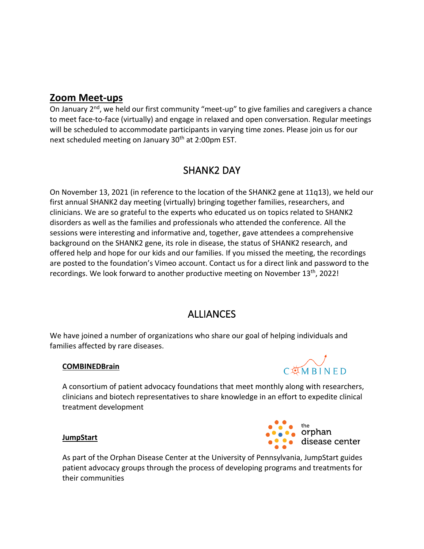#### **Zoom Meet-ups**

On January  $2^{nd}$ , we held our first community "meet-up" to give families and caregivers a chance to meet face-to-face (virtually) and engage in relaxed and open conversation. Regular meetings will be scheduled to accommodate participants in varying time zones. Please join us for our next scheduled meeting on January 30<sup>th</sup> at 2:00pm EST.

## SHANK2 DAY

On November 13, 2021 (in reference to the location of the SHANK2 gene at 11q13), we held our first annual SHANK2 day meeting (virtually) bringing together families, researchers, and clinicians. We are so grateful to the experts who educated us on topics related to SHANK2 disorders as well as the families and professionals who attended the conference. All the sessions were interesting and informative and, together, gave attendees a comprehensive background on the SHANK2 gene, its role in disease, the status of SHANK2 research, and offered help and hope for our kids and our families. If you missed the meeting, the recordings are posted to the foundation's Vimeo account. Contact us for a direct link and password to the recordings. We look forward to another productive meeting on November 13<sup>th</sup>, 2022!

## **ALLIANCES**

We have joined a number of organizations who share our goal of helping individuals and families affected by rare diseases.

#### **COMBINEDBrain**



A consortium of patient advocacy foundations that meet monthly along with researchers, clinicians and biotech representatives to share knowledge in an effort to expedite clinical treatment development



#### **JumpStart**

As part of the Orphan Disease Center at the University of Pennsylvania, JumpStart guides patient advocacy groups through the process of developing programs and treatments for their communities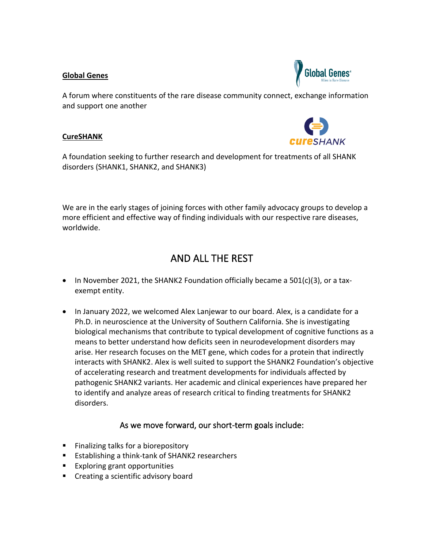#### **Global Genes**



A forum where constituents of the rare disease community connect, exchange information and support one another

#### **CureSHANK**



A foundation seeking to further research and development for treatments of all SHANK disorders (SHANK1, SHANK2, and SHANK3)

We are in the early stages of joining forces with other family advocacy groups to develop a more efficient and effective way of finding individuals with our respective rare diseases, worldwide.

## AND ALL THE REST

- In November 2021, the SHANK2 Foundation officially became a  $501(c)(3)$ , or a taxexempt entity.
- In January 2022, we welcomed Alex Lanjewar to our board. Alex, is a candidate for a Ph.D. in neuroscience at the University of Southern California. She is investigating biological mechanisms that contribute to typical development of cognitive functions as a means to better understand how deficits seen in neurodevelopment disorders may arise. Her research focuses on the MET gene, which codes for a protein that indirectly interacts with SHANK2. Alex is well suited to support the SHANK2 Foundation's objective of accelerating research and treatment developments for individuals affected by pathogenic SHANK2 variants. Her academic and clinical experiences have prepared her to identify and analyze areas of research critical to finding treatments for SHANK2 disorders.

#### As we move forward, our short-term goals include:

- Finalizing talks for a biorepository
- Establishing a think-tank of SHANK2 researchers
- Exploring grant opportunities
- Creating a scientific advisory board